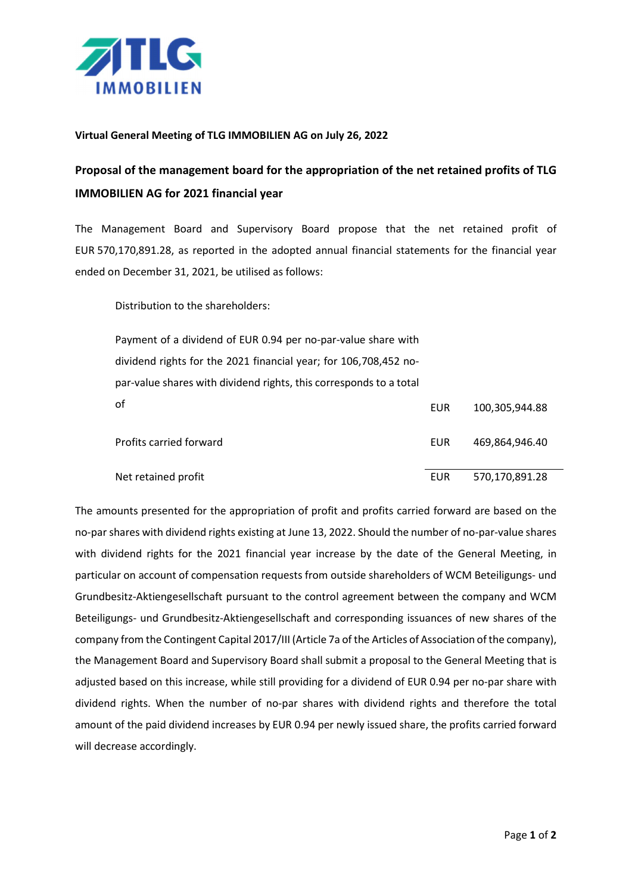

## Virtual General Meeting of TLG IMMOBILIEN AG on July 26, 2022

## Proposal of the management board for the appropriation of the net retained profits of TLG IMMOBILIEN AG for 2021 financial year

The Management Board and Supervisory Board propose that the net retained profit of EUR 570,170,891.28, as reported in the adopted annual financial statements for the financial year ended on December 31, 2021, be utilised as follows:

Distribution to the shareholders:

| Payment of a dividend of EUR 0.94 per no-par-value share with      |            |                |
|--------------------------------------------------------------------|------------|----------------|
| dividend rights for the 2021 financial year; for 106,708,452 no-   |            |                |
| par-value shares with dividend rights, this corresponds to a total |            |                |
| οf                                                                 | EUR        | 100,305,944.88 |
| Profits carried forward                                            | <b>EUR</b> | 469.864.946.40 |
| Net retained profit                                                | <b>EUR</b> | 570,170,891.28 |

The amounts presented for the appropriation of profit and profits carried forward are based on the no-par shares with dividend rights existing at June 13, 2022. Should the number of no-par-value shares with dividend rights for the 2021 financial year increase by the date of the General Meeting, in particular on account of compensation requests from outside shareholders of WCM Beteiligungs- und Grundbesitz-Aktiengesellschaft pursuant to the control agreement between the company and WCM Beteiligungs- und Grundbesitz-Aktiengesellschaft and corresponding issuances of new shares of the company from the Contingent Capital 2017/III (Article 7a of the Articles of Association of the company), the Management Board and Supervisory Board shall submit a proposal to the General Meeting that is adjusted based on this increase, while still providing for a dividend of EUR 0.94 per no-par share with dividend rights. When the number of no-par shares with dividend rights and therefore the total amount of the paid dividend increases by EUR 0.94 per newly issued share, the profits carried forward will decrease accordingly.